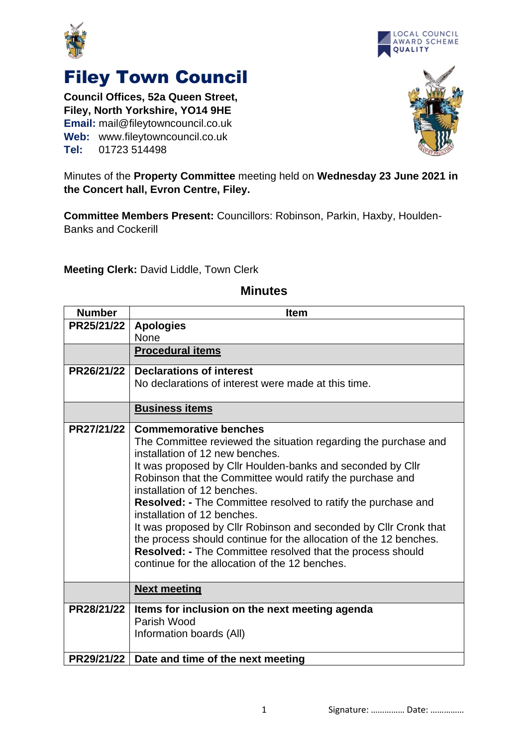



## Filey Town Council

**Council Offices, 52a Queen Street, Filey, North Yorkshire, YO14 9HE Email:** mail@fileytowncouncil.co.uk **Web:** www.fileytowncouncil.co.uk **Tel:** 01723 514498



Minutes of the **Property Committee** meeting held on **Wednesday 23 June 2021 in the Concert hall, Evron Centre, Filey.**

**Committee Members Present:** Councillors: Robinson, Parkin, Haxby, Houlden-Banks and Cockerill

**Meeting Clerk:** David Liddle, Town Clerk

| <b>Number</b> | <b>Item</b>                                                                                         |
|---------------|-----------------------------------------------------------------------------------------------------|
| PR25/21/22    | <b>Apologies</b>                                                                                    |
|               | None                                                                                                |
|               | <b>Procedural items</b>                                                                             |
| PR26/21/22    | <b>Declarations of interest</b>                                                                     |
|               | No declarations of interest were made at this time.                                                 |
|               | <b>Business items</b>                                                                               |
| PR27/21/22    | <b>Commemorative benches</b>                                                                        |
|               | The Committee reviewed the situation regarding the purchase and<br>installation of 12 new benches.  |
|               | It was proposed by Cllr Houlden-banks and seconded by Cllr                                          |
|               | Robinson that the Committee would ratify the purchase and                                           |
|               | installation of 12 benches.                                                                         |
|               | <b>Resolved: -</b> The Committee resolved to ratify the purchase and<br>installation of 12 benches. |
|               | It was proposed by Cllr Robinson and seconded by Cllr Cronk that                                    |
|               | the process should continue for the allocation of the 12 benches.                                   |
|               | <b>Resolved: - The Committee resolved that the process should</b>                                   |
|               | continue for the allocation of the 12 benches.                                                      |
|               | <b>Next meeting</b>                                                                                 |
| PR28/21/22    | Items for inclusion on the next meeting agenda                                                      |
|               | Parish Wood                                                                                         |
|               | Information boards (All)                                                                            |
| PR29/21/22    | Date and time of the next meeting                                                                   |

## **Minutes**